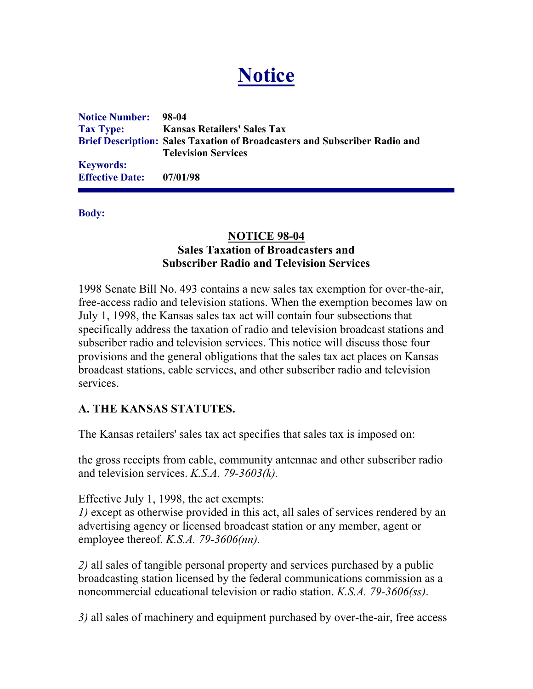# **Notice**

**Notice Number: 98-04 Tax Type: Kansas Retailers' Sales Tax Brief Description: Sales Taxation of Broadcasters and Subscriber Radio and Television Services Keywords: Effective Date: 07/01/98**

**Body:**

### **NOTICE 98-04 Sales Taxation of Broadcasters and Subscriber Radio and Television Services**

1998 Senate Bill No. 493 contains a new sales tax exemption for over-the-air, free-access radio and television stations. When the exemption becomes law on July 1, 1998, the Kansas sales tax act will contain four subsections that specifically address the taxation of radio and television broadcast stations and subscriber radio and television services. This notice will discuss those four provisions and the general obligations that the sales tax act places on Kansas broadcast stations, cable services, and other subscriber radio and television services.

## **A. THE KANSAS STATUTES.**

The Kansas retailers' sales tax act specifies that sales tax is imposed on:

the gross receipts from cable, community antennae and other subscriber radio and television services. *K.S.A. 79-3603(k).*

Effective July 1, 1998, the act exempts:

*1)* except as otherwise provided in this act, all sales of services rendered by an advertising agency or licensed broadcast station or any member, agent or employee thereof. *K.S.A. 79-3606(nn).*

*2)* all sales of tangible personal property and services purchased by a public broadcasting station licensed by the federal communications commission as a noncommercial educational television or radio station. *K.S.A. 79-3606(ss)*.

*3)* all sales of machinery and equipment purchased by over-the-air, free access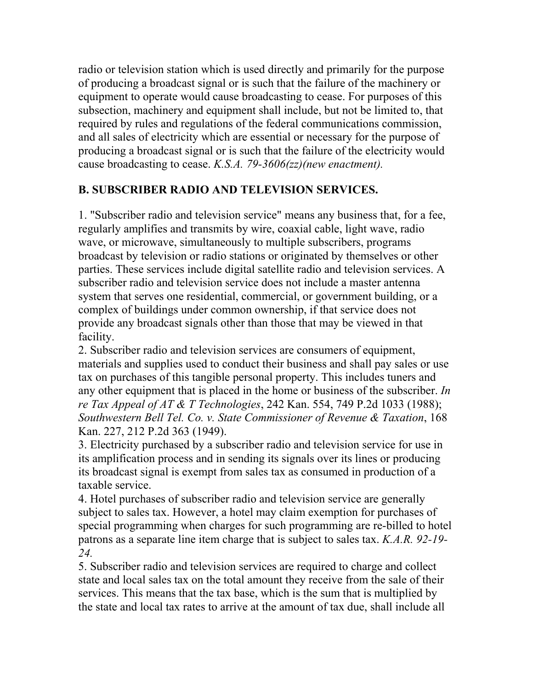radio or television station which is used directly and primarily for the purpose of producing a broadcast signal or is such that the failure of the machinery or equipment to operate would cause broadcasting to cease. For purposes of this subsection, machinery and equipment shall include, but not be limited to, that required by rules and regulations of the federal communications commission, and all sales of electricity which are essential or necessary for the purpose of producing a broadcast signal or is such that the failure of the electricity would cause broadcasting to cease. *K.S.A. 79-3606(zz)(new enactment).*

## **B. SUBSCRIBER RADIO AND TELEVISION SERVICES.**

1. "Subscriber radio and television service" means any business that, for a fee, regularly amplifies and transmits by wire, coaxial cable, light wave, radio wave, or microwave, simultaneously to multiple subscribers, programs broadcast by television or radio stations or originated by themselves or other parties. These services include digital satellite radio and television services. A subscriber radio and television service does not include a master antenna system that serves one residential, commercial, or government building, or a complex of buildings under common ownership, if that service does not provide any broadcast signals other than those that may be viewed in that facility.

2. Subscriber radio and television services are consumers of equipment, materials and supplies used to conduct their business and shall pay sales or use tax on purchases of this tangible personal property. This includes tuners and any other equipment that is placed in the home or business of the subscriber. *In re Tax Appeal of AT & T Technologies*, 242 Kan. 554, 749 P.2d 1033 (1988); *Southwestern Bell Tel. Co. v. State Commissioner of Revenue & Taxation*, 168 Kan. 227, 212 P.2d 363 (1949).

3. Electricity purchased by a subscriber radio and television service for use in its amplification process and in sending its signals over its lines or producing its broadcast signal is exempt from sales tax as consumed in production of a taxable service.

4. Hotel purchases of subscriber radio and television service are generally subject to sales tax. However, a hotel may claim exemption for purchases of special programming when charges for such programming are re-billed to hotel patrons as a separate line item charge that is subject to sales tax. *K.A.R. 92-19- 24.* 

5. Subscriber radio and television services are required to charge and collect state and local sales tax on the total amount they receive from the sale of their services. This means that the tax base, which is the sum that is multiplied by the state and local tax rates to arrive at the amount of tax due, shall include all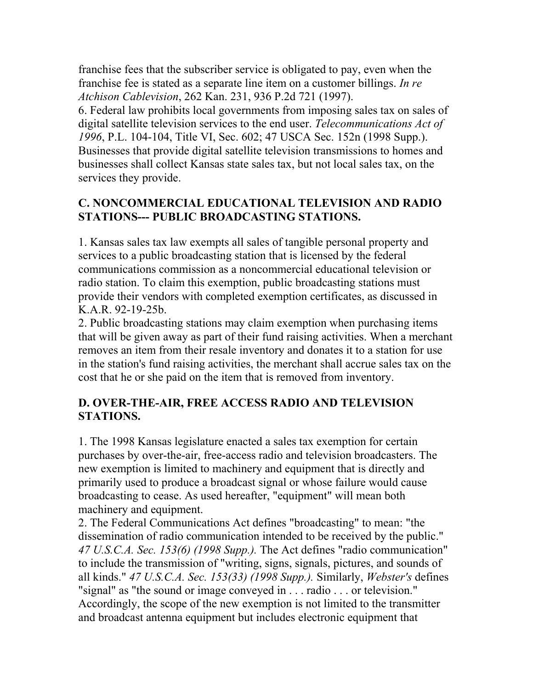franchise fees that the subscriber service is obligated to pay, even when the franchise fee is stated as a separate line item on a customer billings. *In re Atchison Cablevision*, 262 Kan. 231, 936 P.2d 721 (1997).

6. Federal law prohibits local governments from imposing sales tax on sales of digital satellite television services to the end user. *Telecommunications Act of 1996*, P.L. 104-104, Title VI, Sec. 602; 47 USCA Sec. 152n (1998 Supp.). Businesses that provide digital satellite television transmissions to homes and businesses shall collect Kansas state sales tax, but not local sales tax, on the services they provide.

# **C. NONCOMMERCIAL EDUCATIONAL TELEVISION AND RADIO STATIONS--- PUBLIC BROADCASTING STATIONS.**

1. Kansas sales tax law exempts all sales of tangible personal property and services to a public broadcasting station that is licensed by the federal communications commission as a noncommercial educational television or radio station. To claim this exemption, public broadcasting stations must provide their vendors with completed exemption certificates, as discussed in K.A.R. 92-19-25b.

2. Public broadcasting stations may claim exemption when purchasing items that will be given away as part of their fund raising activities. When a merchant removes an item from their resale inventory and donates it to a station for use in the station's fund raising activities, the merchant shall accrue sales tax on the cost that he or she paid on the item that is removed from inventory.

# **D. OVER-THE-AIR, FREE ACCESS RADIO AND TELEVISION STATIONS.**

1. The 1998 Kansas legislature enacted a sales tax exemption for certain purchases by over-the-air, free-access radio and television broadcasters. The new exemption is limited to machinery and equipment that is directly and primarily used to produce a broadcast signal or whose failure would cause broadcasting to cease. As used hereafter, "equipment" will mean both machinery and equipment.

2. The Federal Communications Act defines "broadcasting" to mean: "the dissemination of radio communication intended to be received by the public." *47 U.S.C.A. Sec. 153(6) (1998 Supp.).* The Act defines "radio communication" to include the transmission of "writing, signs, signals, pictures, and sounds of all kinds." *47 U.S.C.A. Sec. 153(33) (1998 Supp.).* Similarly, *Webster's* defines "signal" as "the sound or image conveyed in . . . radio . . . or television." Accordingly, the scope of the new exemption is not limited to the transmitter and broadcast antenna equipment but includes electronic equipment that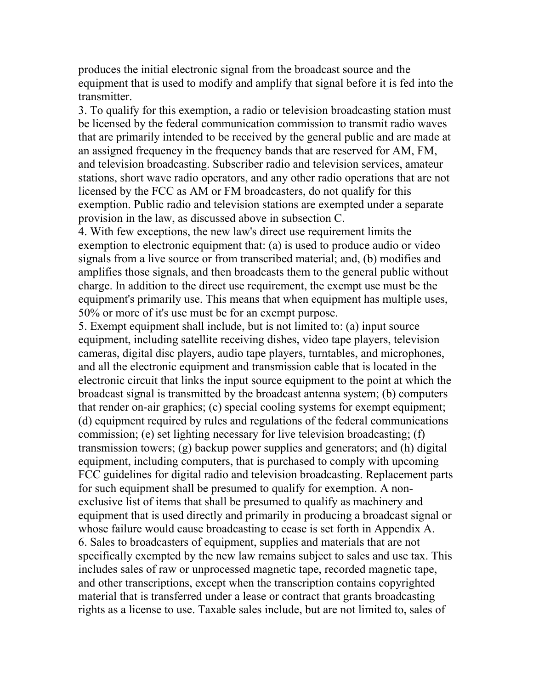produces the initial electronic signal from the broadcast source and the equipment that is used to modify and amplify that signal before it is fed into the transmitter.

3. To qualify for this exemption, a radio or television broadcasting station must be licensed by the federal communication commission to transmit radio waves that are primarily intended to be received by the general public and are made at an assigned frequency in the frequency bands that are reserved for AM, FM, and television broadcasting. Subscriber radio and television services, amateur stations, short wave radio operators, and any other radio operations that are not licensed by the FCC as AM or FM broadcasters, do not qualify for this exemption. Public radio and television stations are exempted under a separate provision in the law, as discussed above in subsection C.

4. With few exceptions, the new law's direct use requirement limits the exemption to electronic equipment that: (a) is used to produce audio or video signals from a live source or from transcribed material; and, (b) modifies and amplifies those signals, and then broadcasts them to the general public without charge. In addition to the direct use requirement, the exempt use must be the equipment's primarily use. This means that when equipment has multiple uses, 50% or more of it's use must be for an exempt purpose.

5. Exempt equipment shall include, but is not limited to: (a) input source equipment, including satellite receiving dishes, video tape players, television cameras, digital disc players, audio tape players, turntables, and microphones, and all the electronic equipment and transmission cable that is located in the electronic circuit that links the input source equipment to the point at which the broadcast signal is transmitted by the broadcast antenna system; (b) computers that render on-air graphics; (c) special cooling systems for exempt equipment; (d) equipment required by rules and regulations of the federal communications commission; (e) set lighting necessary for live television broadcasting; (f) transmission towers; (g) backup power supplies and generators; and (h) digital equipment, including computers, that is purchased to comply with upcoming FCC guidelines for digital radio and television broadcasting. Replacement parts for such equipment shall be presumed to qualify for exemption. A nonexclusive list of items that shall be presumed to qualify as machinery and equipment that is used directly and primarily in producing a broadcast signal or whose failure would cause broadcasting to cease is set forth in Appendix A. 6. Sales to broadcasters of equipment, supplies and materials that are not specifically exempted by the new law remains subject to sales and use tax. This includes sales of raw or unprocessed magnetic tape, recorded magnetic tape, and other transcriptions, except when the transcription contains copyrighted material that is transferred under a lease or contract that grants broadcasting rights as a license to use. Taxable sales include, but are not limited to, sales of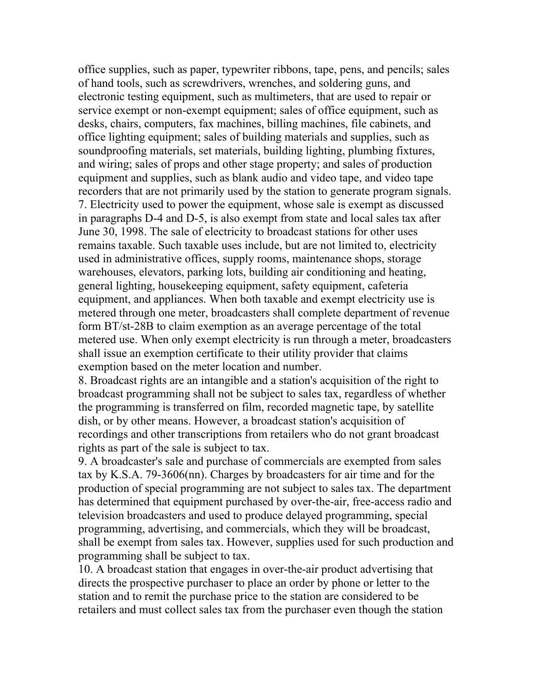office supplies, such as paper, typewriter ribbons, tape, pens, and pencils; sales of hand tools, such as screwdrivers, wrenches, and soldering guns, and electronic testing equipment, such as multimeters, that are used to repair or service exempt or non-exempt equipment; sales of office equipment, such as desks, chairs, computers, fax machines, billing machines, file cabinets, and office lighting equipment; sales of building materials and supplies, such as soundproofing materials, set materials, building lighting, plumbing fixtures, and wiring; sales of props and other stage property; and sales of production equipment and supplies, such as blank audio and video tape, and video tape recorders that are not primarily used by the station to generate program signals. 7. Electricity used to power the equipment, whose sale is exempt as discussed in paragraphs D-4 and D-5, is also exempt from state and local sales tax after June 30, 1998. The sale of electricity to broadcast stations for other uses remains taxable. Such taxable uses include, but are not limited to, electricity used in administrative offices, supply rooms, maintenance shops, storage warehouses, elevators, parking lots, building air conditioning and heating, general lighting, housekeeping equipment, safety equipment, cafeteria equipment, and appliances. When both taxable and exempt electricity use is metered through one meter, broadcasters shall complete department of revenue form BT/st-28B to claim exemption as an average percentage of the total metered use. When only exempt electricity is run through a meter, broadcasters shall issue an exemption certificate to their utility provider that claims exemption based on the meter location and number.

8. Broadcast rights are an intangible and a station's acquisition of the right to broadcast programming shall not be subject to sales tax, regardless of whether the programming is transferred on film, recorded magnetic tape, by satellite dish, or by other means. However, a broadcast station's acquisition of recordings and other transcriptions from retailers who do not grant broadcast rights as part of the sale is subject to tax.

9. A broadcaster's sale and purchase of commercials are exempted from sales tax by K.S.A. 79-3606(nn). Charges by broadcasters for air time and for the production of special programming are not subject to sales tax. The department has determined that equipment purchased by over-the-air, free-access radio and television broadcasters and used to produce delayed programming, special programming, advertising, and commercials, which they will be broadcast, shall be exempt from sales tax. However, supplies used for such production and programming shall be subject to tax.

10. A broadcast station that engages in over-the-air product advertising that directs the prospective purchaser to place an order by phone or letter to the station and to remit the purchase price to the station are considered to be retailers and must collect sales tax from the purchaser even though the station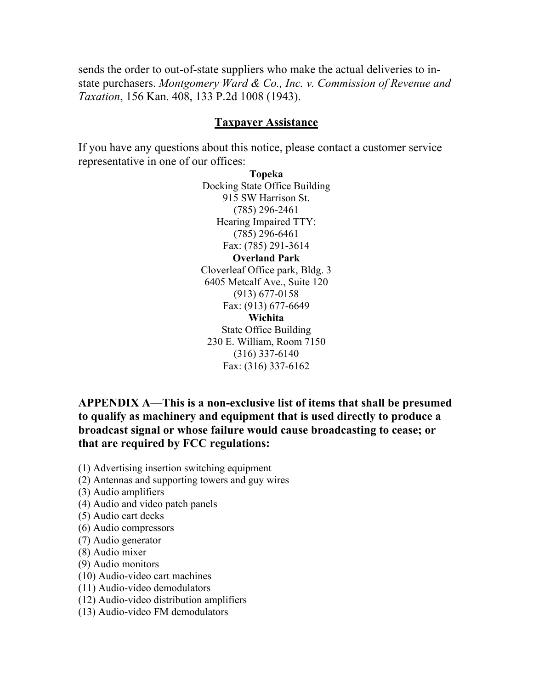sends the order to out-of-state suppliers who make the actual deliveries to instate purchasers. *Montgomery Ward & Co., Inc. v. Commission of Revenue and Taxation*, 156 Kan. 408, 133 P.2d 1008 (1943).

#### **Taxpayer Assistance**

If you have any questions about this notice, please contact a customer service representative in one of our offices:

> **Topeka** Docking State Office Building 915 SW Harrison St. (785) 296-2461 Hearing Impaired TTY: (785) 296-6461 Fax: (785) 291-3614

**Overland Park** Cloverleaf Office park, Bldg. 3 6405 Metcalf Ave., Suite 120 (913) 677-0158 Fax: (913) 677-6649 **Wichita** State Office Building 230 E. William, Room 7150 (316) 337-6140 Fax: (316) 337-6162

**APPENDIX A—This is a non-exclusive list of items that shall be presumed to qualify as machinery and equipment that is used directly to produce a broadcast signal or whose failure would cause broadcasting to cease; or that are required by FCC regulations:** 

(1) Advertising insertion switching equipment

- (2) Antennas and supporting towers and guy wires
- (3) Audio amplifiers
- (4) Audio and video patch panels
- (5) Audio cart decks
- (6) Audio compressors
- (7) Audio generator
- (8) Audio mixer
- (9) Audio monitors
- (10) Audio-video cart machines
- (11) Audio-video demodulators
- (12) Audio-video distribution amplifiers
- (13) Audio-video FM demodulators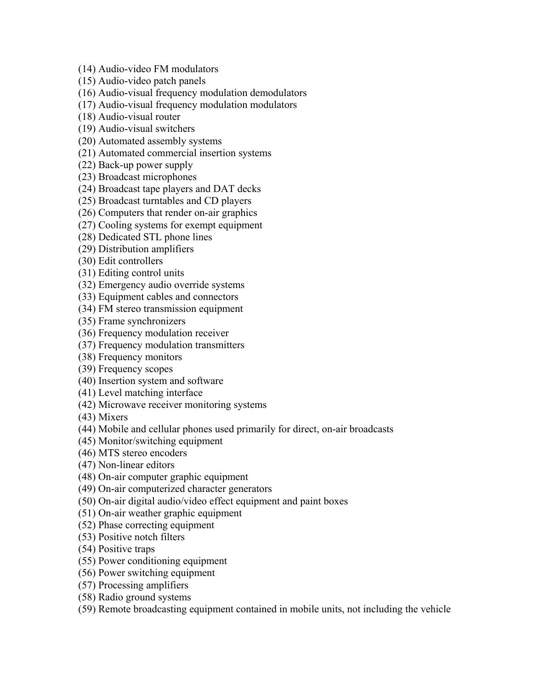(14) Audio-video FM modulators

(15) Audio-video patch panels

(16) Audio-visual frequency modulation demodulators

(17) Audio-visual frequency modulation modulators

(18) Audio-visual router

(19) Audio-visual switchers

(20) Automated assembly systems

(21) Automated commercial insertion systems

(22) Back-up power supply

(23) Broadcast microphones

(24) Broadcast tape players and DAT decks

(25) Broadcast turntables and CD players

(26) Computers that render on-air graphics

(27) Cooling systems for exempt equipment

(28) Dedicated STL phone lines

(29) Distribution amplifiers

(30) Edit controllers

(31) Editing control units

(32) Emergency audio override systems

(33) Equipment cables and connectors

(34) FM stereo transmission equipment

(35) Frame synchronizers

(36) Frequency modulation receiver

(37) Frequency modulation transmitters

(38) Frequency monitors

(39) Frequency scopes

(40) Insertion system and software

(41) Level matching interface

(42) Microwave receiver monitoring systems

(43) Mixers

(44) Mobile and cellular phones used primarily for direct, on-air broadcasts

(45) Monitor/switching equipment

(46) MTS stereo encoders

(47) Non-linear editors

(48) On-air computer graphic equipment

(49) On-air computerized character generators

(50) On-air digital audio/video effect equipment and paint boxes

(51) On-air weather graphic equipment

(52) Phase correcting equipment

(53) Positive notch filters

(54) Positive traps

(55) Power conditioning equipment

(56) Power switching equipment

(57) Processing amplifiers

(58) Radio ground systems

(59) Remote broadcasting equipment contained in mobile units, not including the vehicle